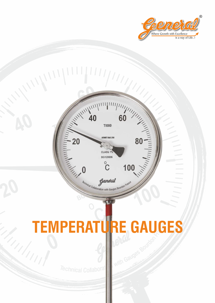



# **TEMPERATURE GAUGES**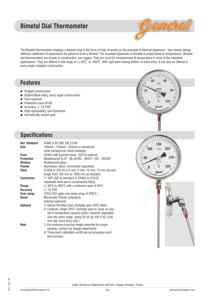# **Bimetal Dial Thermometer**



 $80$ 

20

111111

 $100$ 

150

TI 103b

200

The Bimetal thermometer employs a bimetal strip in the form of helix (it works on the principle of thermal expansion - two metals having different coefficient of expansions are joined to form a bimetal. The resultant expansion of bimetal is proportional to temperature). Bimetal dial thermometers are simple in construction, yet rugged. They are used for measurement of temperature in most of the industrial applications. They are offered in the range of (-) 50°C to 600°C. With rigid stem having bottom or back entry. It can also be offered in every angle rotatable construction.

### **Features**

- Rugged construction
- Bottom/Back entry, every angle construction
- Fast response
- $\blacksquare$  Protection class IP-68
- $\blacksquare$  Accuracy  $\pm$  1% FSD
- $\blacksquare$  High repeatability, low hysteresis
- $\blacksquare$  Hermetically sealed case



| <b>Ref. Standard</b> | ASME B 40.200, EN 13190                                                     |
|----------------------|-----------------------------------------------------------------------------|
| Dial                 | 100mm / 150mm / 250mm in aluminium<br>white background, black markings      |
| Case                 | SS304 with bayonet bezel / SS316 optional                                   |
| <b>Protection</b>    | Weatherproof to IP - 68 (IS/IEC : 60947 / IEC : 60529)                      |
| <b>Window</b>        | Shatterproof glass                                                          |
| <b>Pointer</b>       | Aluminium, black, micrometer adjustable                                     |
| <b>Stem</b>          | SS304 or SS316 in 6 mm, 8 mm, 10 mm, 12 mm dia and                          |
|                      | length from 100 mm to 1000 mm as standard                                   |
| <b>Connection</b>    | 1/2" NPT (M) as standard in SS304 or SS316                                  |
|                      | adjustable three piece compression fitting                                  |
| Range                | (-) $50^{\circ}$ C to $600^{\circ}$ C with a minimum span of $60^{\circ}$ C |
| <b>Accuracy</b>      | $±$ 1% FSD                                                                  |
| Over range           | 125% FSD (upto max temp range of $500^{\circ}$ C)                           |
| <b>Reset</b>         | Micrometer Pointer (standard)                                               |
|                      | External (optional)                                                         |
| <b>Optional</b>      | 1) Silicon Oil Filled Case (Suitable upto 339°C Max)                        |
|                      | 2) Contacts: Single SPST, normally open to close on rise /                  |
|                      | fall in temperature (specify action required) adjustable                    |
|                      | over the entire range, rating 30 VA $\omega$ 230 V AC (100                  |
|                      | mm dial, back entry only)                                                   |
| <b>Note</b>          | 1) For minimum insertion length essential for proper                        |
|                      | sensing, contact our design department.                                     |
|                      | 2) Three point calibration certificate accompanies each                     |

thermometer.

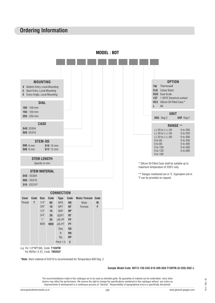# **Ordering Information**

**MODEL : BDT**



e.g. For 1/2"NPT(M), Code: **T15NTM**

For M20x1.5 (F), Code: **TM20CF**

\***Note**: Stem material of SS310 is recommended for Temperature 600 Deg. C

#### **Sample Model Code: BDT-E-150-S4S-S10-400-S6S-T15NTM-(0-250)-DGC-L**

The recommendations made in this catalogue are to be used as intended guide. No guarantee of material can be undertaken since other factors may affect the performance. We reserve the right to change the specifications mentioned in this catalogue without any notice as improvements & development is a continuous process at "General". Responsibility of typographical errors is specifically disclaimed.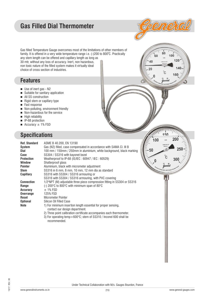# **Gas Filled Dial Thermometer**



80

 $150$ 

GAS

 $\sim$ 

200

100

.<br>60

40  $20$ 

 $\Omega$ 

Gas filled Temperature Gauge overcomes most of the limitations of other members of family. It is offered in a very wide temperature range i.e. (-)200 to 800 $^{\rm o}$ C. Practically any stem length can be offered and capillary length as long as 30 mtr, without any loss of accuracy. Inert, non hazardous, non toxic nature of the filled system makes it virtually ideal choice of cross section of industries.

## **Features**

- $\blacksquare$  Use of inert gas N2
- $\blacksquare$  Suitable for sanitary application
- $\blacksquare$  All SS construction
- $\blacksquare$  Rigid stem or capillary type
- Fast response
- $\blacksquare$  Non-polluting, environment friendly
- $\blacksquare$  Non-hazardous for the service
- $\blacksquare$  High reliability
- $\blacksquare$  IP-68 protection
- $\blacksquare$  Accuracy  $\pm$  1% FSD

# **Specifications**

|                      |                                                                                     | 1 U U |
|----------------------|-------------------------------------------------------------------------------------|-------|
| <b>Ref. Standard</b> | ASME B 40.200, EN 13190                                                             |       |
| <b>System</b>        | Gas (N2) filled, case compensated in accordance with SAMA CI. III B                 |       |
| Dial                 | 100 mm / 150mm / 250mm in aluminium, white background, black marking                | 50    |
| Case                 | SS304 / SS316 with bayonet bezel                                                    |       |
| <b>Protection</b>    | Weatherproof to IP-68 (IS/IEC: 60947 / IEC: 60529)                                  |       |
| <b>Window</b>        | Shatterproof glass                                                                  |       |
| <b>Pointer</b>       | Aluminium, black with micrometer adjustment                                         |       |
| <b>Stem</b>          | SS316 in 6 mm, 8 mm, 10 mm, 12 mm dia as standard                                   |       |
| <b>Capillary</b>     | SS316 with SS304 / SS316 armouring or                                               |       |
|                      | SS316 with SS304 / SS316 armouring, with PVC covering                               |       |
| <b>Connection</b>    | 1/2"NPT (M) adjustable three piece compression fitting in SS304 or SS316            |       |
| Range                | (-) 200 °C to 800 °C with minimum span of 80 °C                                     |       |
| <b>Accuracy</b>      | $\pm$ 1% FSD                                                                        |       |
| <b>Overrange</b>     | 125% FSD                                                                            |       |
| Reset                | Micrometer Pointer                                                                  |       |
| <b>Optional</b>      | Silicon Oil Filled Case                                                             |       |
| <b>Note</b>          | 1) For minimum insertion length essential for proper sensing,                       |       |
|                      | contact our design department.                                                      |       |
|                      | 2) Three point calibration certificate accompanies each thermometer.                |       |
|                      | 3) For operating temp > 600°C; stem of SS310 / Inconel 600 shall be<br>recommended. |       |